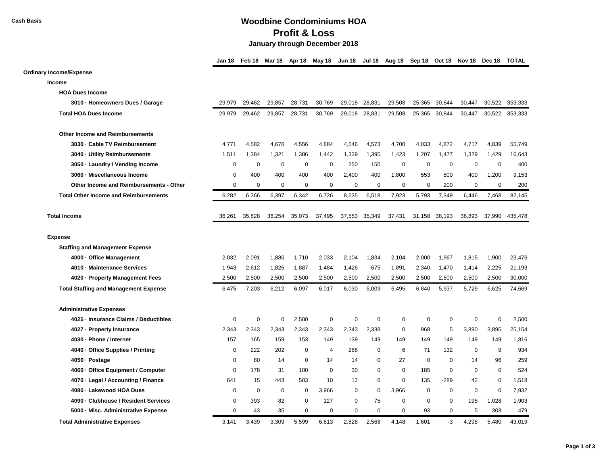## **Cash Basis Woodbine Condominiums HOA Profit & Loss January through December 2018**

|                                              | Jan 18      | Feb 18      | Mar 18      | Apr 18 | May 18 Jun 18 Jul 18 Aug 18 Sep 18 Oct 18 Nov 18 |             |             |             |             |               |             | Dec 18      | <b>TOTAL</b> |
|----------------------------------------------|-------------|-------------|-------------|--------|--------------------------------------------------|-------------|-------------|-------------|-------------|---------------|-------------|-------------|--------------|
| <b>Ordinary Income/Expense</b>               |             |             |             |        |                                                  |             |             |             |             |               |             |             |              |
| Income                                       |             |             |             |        |                                                  |             |             |             |             |               |             |             |              |
| <b>HOA Dues Income</b>                       |             |             |             |        |                                                  |             |             |             |             |               |             |             |              |
| 3010 · Homeowners Dues / Garage              | 29,979      | 29,462      | 29,857      | 28,731 | 30,769                                           | 29,018      | 28,831      | 29,508      | 25,365      | 30,844        | 30,447      | 30,522      | 353,333      |
| <b>Total HOA Dues Income</b>                 | 29,979      | 29,462      | 29,857      | 28,731 | 30,769                                           | 29,018      | 28,831      | 29,508      | 25,365      | 30,844        | 30,447      | 30,522      | 353,333      |
| <b>Other Income and Reimbursements</b>       |             |             |             |        |                                                  |             |             |             |             |               |             |             |              |
| 3030 · Cable TV Reimbursement                | 4,771       | 4,582       | 4,676       | 4,556  | 4,884                                            | 4,546       | 4,573       | 4,700       | 4,033       | 4,872         | 4,717       | 4,839       | 55,749       |
| 3040 · Utility Reimbursements                | 1,511       | 1,384       | 1,321       | 1,386  | 1,442                                            | 1,339       | 1,395       | 1,423       | 1,207       | 1,477         | 1,329       | 1,429       | 16,643       |
| 3050 · Laundry / Vending Income              | $\mathbf 0$ | $\mathbf 0$ | 0           | 0      | $\mathbf 0$                                      | 250         | 150         | $\mathbf 0$ | $\mathbf 0$ | 0             | $\mathbf 0$ | 0           | 400          |
| 3060 · Miscellaneous Income                  | 0           | 400         | 400         | 400    | 400                                              | 2,400       | 400         | 1,800       | 553         | 800           | 400         | 1,200       | 9,153        |
| Other Income and Reimbursements - Other      | $\mathbf 0$ | $\mathbf 0$ | $\mathbf 0$ | 0      | $\mathbf 0$                                      | 0           | $\mathbf 0$ | 0           | $\mathbf 0$ | 200           | 0           | $\mathbf 0$ | 200          |
| <b>Total Other Income and Reimbursements</b> | 6,282       | 6,366       | 6,397       | 6,342  | 6,726                                            | 8,535       | 6,518       | 7,923       | 5,793       | 7,349         | 6,446       | 7,468       | 82,145       |
| <b>Total Income</b>                          | 36,261      | 35,828      | 36,254      | 35,073 | 37,495                                           | 37,553      | 35,349      | 37,431      |             | 31,158 38,193 | 36.893      | 37,990      | 435.478      |
| <b>Expense</b>                               |             |             |             |        |                                                  |             |             |             |             |               |             |             |              |
| <b>Staffing and Management Expense</b>       |             |             |             |        |                                                  |             |             |             |             |               |             |             |              |
| 4000 Office Management                       | 2,032       | 2,091       | 1,886       | 1,710  | 2,033                                            | 2,104       | 1,834       | 2,104       | 2,000       | 1,967         | 1,815       | 1,900       | 23,476       |
| 4010 - Maintenance Services                  | 1,943       | 2,612       | 1,826       | 1,887  | 1,484                                            | 1,426       | 675         | 1,891       | 2,340       | 1,470         | 1,414       | 2,225       | 21,193       |
| 4020 · Property Management Fees              | 2,500       | 2,500       | 2,500       | 2,500  | 2,500                                            | 2,500       | 2,500       | 2,500       | 2,500       | 2,500         | 2,500       | 2,500       | 30,000       |
| <b>Total Staffing and Management Expense</b> | 6,475       | 7,203       | 6,212       | 6,097  | 6,017                                            | 6,030       | 5,009       | 6,495       | 6,840       | 5,937         | 5,729       | 6,625       | 74,669       |
| <b>Administrative Expenses</b>               |             |             |             |        |                                                  |             |             |             |             |               |             |             |              |
| 4025 · Insurance Claims / Deductibles        | $\mathbf 0$ | $\mathbf 0$ | $\mathbf 0$ | 2,500  | $\mathbf 0$                                      | $\mathbf 0$ | $\mathbf 0$ | $\mathbf 0$ | 0           | $\mathbf 0$   | 0           | $\mathbf 0$ | 2,500        |
| 4027 - Property Insurance                    | 2,343       | 2,343       | 2,343       | 2,343  | 2,343                                            | 2,343       | 2,338       | 0           | 968         | 5             | 3,890       | 3,895       | 25,154       |
| 4030 · Phone / Internet                      | 157         | 165         | 159         | 153    | 149                                              | 139         | 149         | 149         | 149         | 149           | 149         | 149         | 1,816        |
| 4040 · Office Supplies / Printing            | 0           | 222         | 202         | 0      | 4                                                | 288         | 0           | 6           | 71          | 132           | 0           | 9           | 934          |
| 4050 · Postage                               | $\mathbf 0$ | 80          | 14          | 0      | 14                                               | 14          | 0           | 27          | 0           | $\mathbf 0$   | 14          | 96          | 259          |
| 4060 · Office Equipment / Computer           | $\mathbf 0$ | 178         | 31          | 100    | $\mathbf 0$                                      | 30          | $\mathbf 0$ | $\mathbf 0$ | 185         | $\mathbf 0$   | $\mathbf 0$ | $\mathbf 0$ | 524          |
| 4070 · Legal / Accounting / Finance          | 641         | 15          | 443         | 503    | 10                                               | 12          | 6           | $\mathbf 0$ | 135         | $-289$        | 42          | $\mathbf 0$ | 1,518        |
| 4080 · Lakewood HOA Dues                     | 0           | $\mathbf 0$ | 0           | 0      | 3,966                                            | $\mathbf 0$ | $\mathbf 0$ | 3,966       | 0           | $\mathbf 0$   | 0           | $\mathbf 0$ | 7,932        |
| 4090 · Clubhouse / Resident Services         | $\mathbf 0$ | 393         | 82          | 0      | 127                                              | $\mathbf 0$ | 75          | $\mathbf 0$ | 0           | $\mathbf 0$   | 198         | 1,028       | 1,903        |
| 5000 - Misc. Administrative Expense          | $\mathbf 0$ | 43          | 35          | 0      | $\mathbf 0$                                      | $\mathbf 0$ | $\mathbf 0$ | 0           | 93          | $\mathbf 0$   | 5           | 303         | 479          |
| <b>Total Administrative Expenses</b>         | 3.141       | 3.439       | 3,309       | 5.599  | 6.613                                            | 2.826       | 2.568       | 4.148       | 1.601       | $-3$          | 4.298       | 5.480       | 43.019       |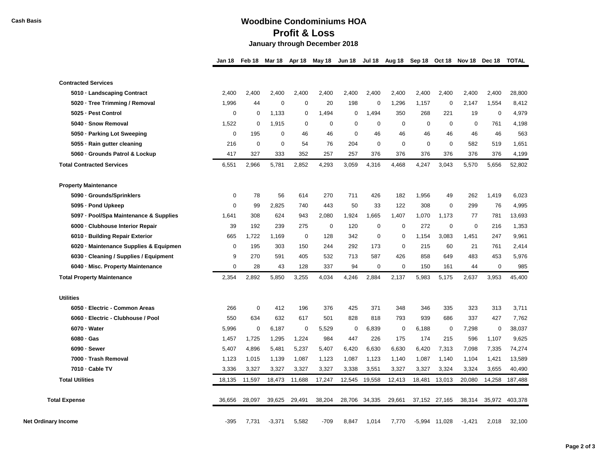## **Cash Basis Woodbine Condominiums HOA Profit & Loss January through December 2018**

|                                        | Jan 18      | Feb 18      | Mar 18      | Apr 18      | May 18      | Jun 18 Jul 18 Aug 18 Sep 18 Oct 18 Nov 18 Dec 18 |             |             |             |               |             |             | <b>TOTAL</b> |
|----------------------------------------|-------------|-------------|-------------|-------------|-------------|--------------------------------------------------|-------------|-------------|-------------|---------------|-------------|-------------|--------------|
| <b>Contracted Services</b>             |             |             |             |             |             |                                                  |             |             |             |               |             |             |              |
| 5010 · Landscaping Contract            | 2,400       | 2,400       | 2,400       | 2,400       | 2,400       | 2,400                                            | 2,400       | 2,400       | 2,400       | 2,400         | 2,400       | 2,400       | 28,800       |
| 5020 · Tree Trimming / Removal         | 1,996       | 44          | 0           | 0           | 20          | 198                                              | 0           | 1,296       | 1,157       | 0             | 2,147       | 1,554       | 8,412        |
| 5025 · Pest Control                    | $\mathbf 0$ | $\mathbf 0$ | 1,133       | 0           | 1,494       | $\mathbf 0$                                      | 1,494       | 350         | 268         | 221           | 19          | $\mathbf 0$ | 4,979        |
| 5040 · Snow Removal                    | 1,522       | $\mathbf 0$ | 1,915       | 0           | $\mathbf 0$ | $\mathbf 0$                                      | 0           | 0           | $\mathbf 0$ | $\mathbf 0$   | 0           | 761         | 4,198        |
| 5050 · Parking Lot Sweeping            | $\mathbf 0$ | 195         | 0           | 46          | 46          | $\mathbf 0$                                      | 46          | 46          | 46          | 46            | 46          | 46          | 563          |
| 5055 · Rain gutter cleaning            | 216         | $\mathbf 0$ | $\mathbf 0$ | 54          | 76          | 204                                              | $\mathbf 0$ | $\mathbf 0$ | $\mathbf 0$ | $\mathbf 0$   | 582         | 519         | 1,651        |
| 5060 Grounds Patrol & Lockup           | 417         | 327         | 333         | 352         | 257         | 257                                              | 376         | 376         | 376         | 376           | 376         | 376         | 4,199        |
| <b>Total Contracted Services</b>       | 6,551       | 2,966       | 5,781       | 2,852       | 4,293       | 3,059                                            | 4,316       | 4,468       | 4,247       | 3,043         | 5,570       | 5,656       | 52,802       |
| <b>Property Maintenance</b>            |             |             |             |             |             |                                                  |             |             |             |               |             |             |              |
| 5090 · Grounds/Sprinklers              | 0           | 78          | 56          | 614         | 270         | 711                                              | 426         | 182         | 1,956       | 49            | 262         | 1,419       | 6,023        |
| 5095 - Pond Upkeep                     | $\mathbf 0$ | 99          | 2,825       | 740         | 443         | 50                                               | 33          | 122         | 308         | $\mathbf 0$   | 299         | 76          | 4,995        |
| 5097 - Pool/Spa Maintenance & Supplies | 1,641       | 308         | 624         | 943         | 2,080       | 1,924                                            | 1,665       | 1,407       | 1,070       | 1,173         | 77          | 781         | 13,693       |
| 6000 - Clubhouse Interior Repair       | 39          | 192         | 239         | 275         | 0           | 120                                              | 0           | 0           | 272         | 0             | $\mathbf 0$ | 216         | 1,353        |
| 6010 · Building Repair Exterior        | 665         | 1,722       | 1,169       | $\mathbf 0$ | 128         | 342                                              | 0           | 0           | 1,154       | 3,083         | 1,451       | 247         | 9,961        |
| 6020 · Maintenance Supplies & Equipmen | $\mathbf 0$ | 195         | 303         | 150         | 244         | 292                                              | 173         | $\mathsf 0$ | 215         | 60            | 21          | 761         | 2,414        |
| 6030 Cleaning / Supplies / Equipment   | 9           | 270         | 591         | 405         | 532         | 713                                              | 587         | 426         | 858         | 649           | 483         | 453         | 5,976        |
| 6040 - Misc. Property Maintenance      | $\mathbf 0$ | 28          | 43          | 128         | 337         | 94                                               | 0           | 0           | 150         | 161           | 44          | $\mathbf 0$ | 985          |
| <b>Total Property Maintenance</b>      | 2,354       | 2,892       | 5,850       | 3,255       | 4,034       | 4,246                                            | 2,884       | 2,137       | 5,983       | 5,175         | 2,637       | 3,953       | 45,400       |
| <b>Utilities</b>                       |             |             |             |             |             |                                                  |             |             |             |               |             |             |              |
| 6050 - Electric - Common Areas         | 266         | 0           | 412         | 196         | 376         | 425                                              | 371         | 348         | 346         | 335           | 323         | 313         | 3,711        |
| 6060 · Electric - Clubhouse / Pool     | 550         | 634         | 632         | 617         | 501         | 828                                              | 818         | 793         | 939         | 686           | 337         | 427         | 7,762        |
| 6070 - Water                           | 5,996       | $\mathbf 0$ | 6,187       | 0           | 5,529       | $\mathbf 0$                                      | 6,839       | $\mathbf 0$ | 6,188       | 0             | 7,298       | $\mathbf 0$ | 38,037       |
| $6080 \cdot Gas$                       | 1,457       | 1,725       | 1,295       | 1,224       | 984         | 447                                              | 226         | 175         | 174         | 215           | 596         | 1,107       | 9,625        |
| 6090 - Sewer                           | 5,407       | 4,896       | 5,481       | 5,237       | 5,407       | 6,420                                            | 6,630       | 6,630       | 6,420       | 7,313         | 7,098       | 7,335       | 74,274       |
| 7000 - Trash Removal                   | 1,123       | 1,015       | 1,139       | 1,087       | 1,123       | 1,087                                            | 1,123       | 1,140       | 1,087       | 1,140         | 1,104       | 1,421       | 13,589       |
| 7010 - Cable TV                        | 3,336       | 3,327       | 3,327       | 3,327       | 3,327       | 3,338                                            | 3,551       | 3,327       | 3,327       | 3,324         | 3,324       | 3,655       | 40,490       |
| <b>Total Utilities</b>                 | 18,135      | 11,597      | 18,473      | 11,688      | 17,247      | 12,545                                           | 19,558      | 12,413      | 18,481      | 13,013        | 20,080      | 14,258      | 187,488      |
| <b>Total Expense</b>                   | 36,656      | 28,097      | 39,625      | 29,491      | 38,204      | 28,706                                           | 34,335      | 29,661      |             | 37,152 27,165 | 38,314      | 35,972      | 403,378      |
| Net Ordinary Income                    | $-395$      | 7,731       | $-3,371$    | 5,582       | $-709$      | 8,847                                            | 1,014       | 7,770       | $-5,994$    | 11,028        | $-1,421$    | 2,018       | 32,100       |